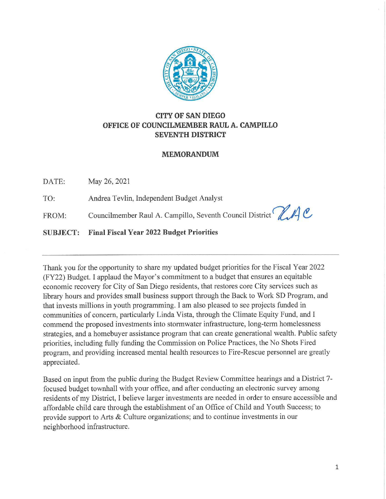

# **CITY OF SAN DIEGO OFFICE OF COUNCILMEMBER RAUL A. CAMPILLO SEVENTH DISTRICT**

#### **MEMORANDUM**

DATE: May 26, 2021

TO: Andrea Tevlin, Independent Budget Analyst

FROM: Councilmember Raul A. Campillo, Seventh Council District **PLAC** 

**SUBJECT: Final Fiscal Year 2022 Budget Priorities** 

Thank you for the opportunity to share my updated budget priorities for the Fiscal Year 2022 (FY22) Budget. I applaud the Mayor's commitment to a budget that ensures an equitable economic recovery for City of San Diego residents, that restores core City services such as library hours and provides small business support through the Back to Work SD Program, and that invests millions in youth programming. I am also pleased to see projects funded in communities of concern, particularly Linda Vista, through the Climate Equity Fund, and I commend the proposed investments into stormwater infrastructure, long-term homelessness strategies, and a homebuyer assistance program that can create generational wealth. Public safety priorities, including fully funding the Commission on Police Practices, the No Shots Fired program, and providing increased mental health resources to Fire-Rescue personnel are greatly appreciated.

Based on input from the public during the Budget Review Committee hearings and a District 7 focused budget townhall with your office, and after conducting an electronic survey among residents of my District, I believe larger investments are needed in order to ensure accessible and affordable child care through the establishment of an Office of Child and Youth Success; to provide support to Arts & Culture organizations; and to continue investments in our neighborhood infrastructure.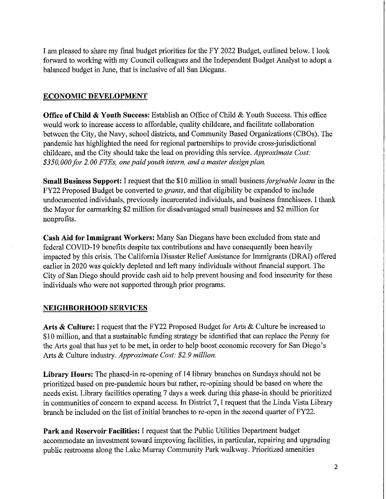I am pleased to share my final budget priorities for the FY 2022 Budget, outlined below. I look forward to working with my Council colleagues and the Independent Budget Analyst to adopt a balanced budget in June, that is inclusive of all San Diegans.

### **ECONOMIC DEVELOPMENT**

**Office of Child & Youth Success:** Establish an Office of Child & Youth Success. This office would work to increase access to affordable, quality childcare, and facilitate collaboration between the City, the Navy, school districts, and Community Based Organizations (CBOs). The pandemic has highlighted the need for regional partnerships to provide cross-jurisdictional childcare, and the City should take the lead on providing this service. *Approximate Cost: \$350,000for 2.00 FTEs, one paid youth intern, and a master design plan.* 

**Small Business Support:** I request that the \$10 million in small business *forgivable loans* in the FY22 Proposed Budget be converted to *grants,* and that eligibility be expanded to include undocumented individuals, previously incarcerated individuals, and business franchisees. I thank the Mayor for earmarking \$2 million for disadvantaged small businesses and \$2 million for nonprofits.

**Cash Aid for Immigrant Workers:** Many San Diegans have been excluded from state and federal COVID-19 benefits despite tax contributions and have consequently been heavily impacted by this crisis. The California Disaster Relief Assistance for Immigrants (DRAI) offered earlier in 2020 was quickly depleted and left many individuals without financial support. The City of San Diego should provide cash aid to help prevent housing and food insecurity for these individuals who were not supported through prior programs.

# **NEIGHBORHOOD SERVICES**

**Arts & Culture:** I request that the FY22 Proposed Budget for Arts & Culture be increased to \$1 O million, and that a sustainable funding strategy be identified that can replace the Penny for the Arts goal that has yet to be met, in order to help boost economic recovery for San Diego's Arts & Culture industry. *Approximate Cost: \$2. 9 million.* 

**Library Hours:** The phased-in re-opening of 14 library branches on Sundays should not be prioritized based on pre-pandemic hours but rather, re-opining should be based on where the needs exist. Library facilities operating 7 days a week during this phase-in should be prioritized in communities of concern to expand access. In District 7, I request that the Linda Vista Library branch be included on the list of initial branches to re-open in the second quarter of FY22.

**Park and Reservoir Facilities:** I request that the Public Utilities Department budget accommodate an investment toward improving facilities, in particular, repairing and upgrading public restrooms along the Lake Murray Community Park walkway. Prioritized amenities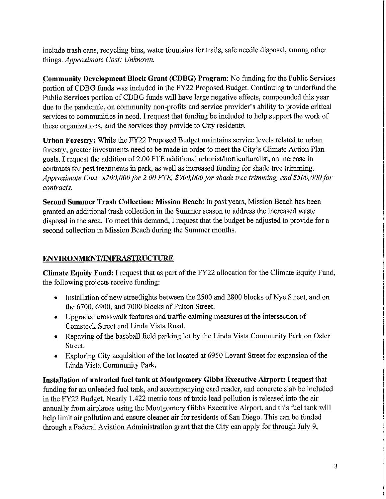include trash cans, recycling bins, water fountains for trails, safe needle disposal, among other things. *Approximate Cost: Unknown.* 

**Community Development Block Grant (CDBG) Program:** No funding for the Public Services portion of CDBG funds was included in the FY22 Proposed Budget. Continuing to underfund the Public Services portion of CDBG funds will have large negative effects, compounded this year due to the pandemic, on community non-profits and service provider's ability to provide critical services to communities in need. I request that funding be included to help support the work of these organizations, and the services they provide to City residents.

**Urban Forestry:** While the FY22 Proposed Budget maintains service levels related to urban forestry, greater investments need to be made in order to meet the City's Climate Action Plan goals. I request the addition of 2.00 FTE additional arborist/horticulturalist, an increase in contracts for pest treatments in park, as well as increased funding for shade tree trimming. *Approximate Cost: \$200,000/or 2.00 FTE, \$900,000/or shade tree trimming, and \$500,000/or contracts.* 

**Second Summer Trash Collection: Mission Beach:** In past years, Mission Beach has been granted an additional trash collection in the Summer season to address the increased waste disposal in the area. To meet this demand, I request that the budget be adjusted to provide for a second collection in Mission Beach during the Summer months.

# **ENVIRONMENT/INFRASTRUCTURE**

**Climate Equity Fund:** I request that as part of the FY22 allocation for the Climate Equity Fund, the following projects receive funding:

- Installation of new streetlights between the 2500 and 2800 blocks of Nye Street, and on the 6700, 6900, and 7000 blocks of Fulton Street.
- Upgraded crosswalk features and traffic calming measures at the intersection of Comstock Street and Linda Vista Road.
- Repaving of the baseball field parking lot by the Linda Vista Community Park on Osler Street.
- Exploring City acquisition of the lot located at 6950 Levant Street for expansion of the Linda Vista Community Park.

**Installation of unleaded fuel tank at Montgomery Gibbs Executive Airport:** I request that funding for an unleaded fuel tank, and accompanying card reader, and concrete slab be included in the FY22 Budget. Nearly 1.422 metric tons of toxic lead pollution is released into the air annually from airplanes using the Montgomery Gibbs Executive Airport, and this fuel tank will help limit air pollution and ensure cleaner air for residents of San Diego. This can be funded through a Federal Aviation Administration grant that the City can apply for through July 9,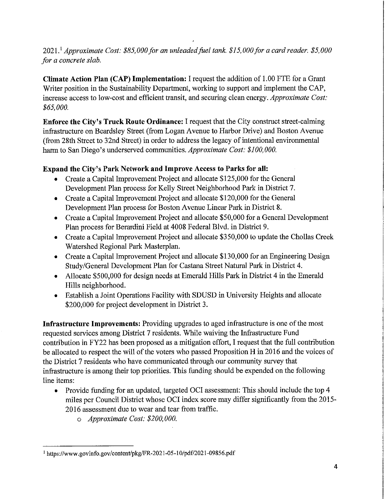# 2021.<sup>1</sup> Approximate Cost: \$85,000 for an unleaded fuel tank. \$15,000 for a card reader. \$5,000 *for a concrete slab.*

**Climate Action Plan (CAP) Implementation:** I request the addition of 1.00 FTE for a Grant Writer position in the Sustainability Department, working to support and implement the CAP, increase access to low-cost and efficient transit, and securing clean energy. *Approximate Cost: \$65,000.* 

**Enforce the City's Truck Route Ordinance:** I request that the City construct street-calming infrastructure on Beardsley Street (from Logan Avenue to Harbor Drive) and Boston Avenue (from 28th Street to 32nd Street) in order to address the legacy of intentional environmental harm to San Diego's underserved communities. *Approximate Cost: \$100,000.* 

# **Expand the City's Park Network and Improve Access to Parks for all:**

- Create a Capital Improvement Project and allocate \$125,000 for the General Development Plan process for Kelly Street Neighborhood Park in District 7.
- Create a Capital Improvement Project and allocate \$120,000 for the General Development Plan process for Boston Avenue Linear Park in District 8.
- Create a Capital Improvement Project and allocate \$50,000 for a General Development Plan process for Berardini Field at 4008 Federal Blvd. in District 9.
- Create a Capital Improvement Project and allocate \$350,000 to update the Chollas Creek Watershed Regional Park Masterplan.
- Create a Capital Improvement Project and allocate \$130,000 for an Engineering Design Study/General Development Plan for Castana Street Natural Park in District 4.
- Allocate \$500,000 for design needs at Emerald Hills Park in District 4 in the Emerald Hills neighborhood.
- Establish a Joint Operations Facility with SDUSD in University Heights and allocate \$200,000 for project development in District 3.

**Infrastructure Improvements:** Providing upgrades to aged infrastructure is one of the most requested services among District 7 residents. While waiving the Infrastructure Fund contribution in FY22 has been proposed as a mitigation effort, I request that the full contribution be allocated to respect the will of the voters who passed Proposition H in 2016 and the voices of the District 7 residents who have communicated through our community survey that infrastructure is among their top priorities. This funding should be expended on the following line items:

- Provide funding for an updated, targeted OCI assessment: This should include the top 4 miles per Council District whose OCI index score may differ significantly from the 2015- 2016 assessment due to wear and tear from traffic.
	- o *Approximate Cost: \$200,000.*

<sup>1</sup> https://www.govinfo.gov/content/pkg/FR-2021-05-1 O/pdf/2021-09856. pdf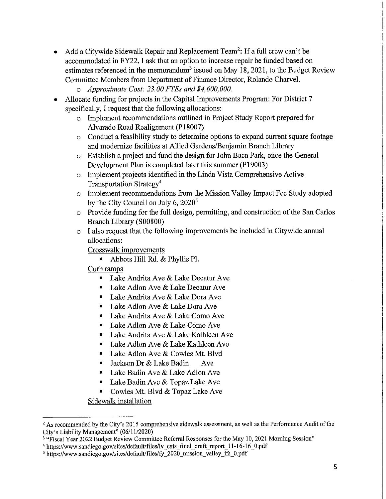- Add a Citywide Sidewalk Repair and Replacement Team<sup>2</sup>: If a full crew can't be accommodated in FY22, I ask that an option to increase repair be funded based on estimates referenced in the memorandum<sup>3</sup> issued on May 18, 2021, to the Budget Review Committee Members from Department of Finance Director, Rolando Charvel.
	- o *Approximate Cost: 23.00 FTEs and \$4,600,000.*
- Allocate funding for projects in the Capital Improvements Program: For District 7 specifically, I request that the following allocations:
	- o Implement recommendations outlined in Project Study Report prepared for Alvarado Road Realignment (P18007)
	- o Conduct a feasibility study to determine options to expand current square footage and modernize facilities at Allied Gardens/Benjamin Branch Library
	- o Establish a project and fund the design for John Baca Park, once the General Development Plan is completed later this summer (P19003)
	- o Implement projects identified in the Linda Vista Comprehensive Active Transportation Strategy<sup>4</sup>
	- o Implement recommendations from the Mission Valley Impact Fee Study adopted by the City Council on July  $6, 2020<sup>5</sup>$
	- o Provide funding for the full design, permitting, and construction of the San Carlos Branch Library (S00800)
	- o I also request that the following improvements be included in Citywide annual allocations:

Crosswalk improvements

■ Abbots Hill Rd. & Phyllis Pl.

Curb ramps

- Lake Andrita Ave & Lake Decatur Ave
- Lake Adlon Ave & Lake Decatur Ave
- Lake Andrita Ave & Lake Dora Ave
- Lake Adlon Ave & Lake Dora Ave
- Lake Andrita Ave & Lake Como Ave
- Lake Adlon Ave & Lake Como Ave
- Lake Andrita Ave & Lake Kathleen Ave
- Lake Adlon Ave & Lake Kathleen Ave
- Lake Adlon Ave & Cowles Mt. Blvd
- Jackson Dr & Lake Badin Ave
- Lake Badin Ave & Lake Adlon Ave
- Lake Badin Ave & Topaz Lake Ave
- Cowles Mt. Blvd & Topaz Lake Ave

Sidewalk installation

<sup>&</sup>lt;sup>2</sup> As recommended by the City's 2015 comprehensive sidewalk assessment, as well as the Performance Audit of the City's Liability Management" (06/11/2020)

<sup>&</sup>lt;sup>3</sup> "Fiscal Year 2022 Budget Review Committee Referral Responses for the May 10, 2021 Morning Session"

<sup>&</sup>lt;sup>4</sup> https://www.sandiego.gov/sites/default/files/ly cats final draft report 11-16-16 0.pdf

<sup>&</sup>lt;sup>5</sup> https://www.sandiego.gov/sites/default/files/fy 2020 mission valley ifs 0.pdf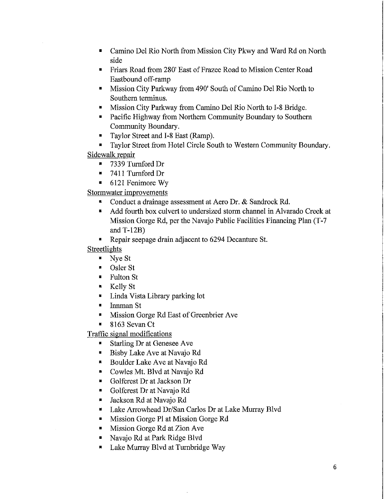- Camino Del Rio North from Mission City Pkwy and Ward Rd on North side
- Friars Road from 280' East of Frazee Road to Mission Center Road Eastbound off-ramp
- Mission City Parkway from 490' South of Camino Del Rio North to Southern terminus.
- Mission City Parkway from Camino Del Rio North to I-8 Bridge.
- Pacific Highway from Northern Community Boundary to Southern Community Boundary.
- Taylor Street and **1-8** East (Ramp).
- Taylor Street from Hotel Circle Sonth to Western Community Boundary. Sidewalk repair
	- - 7339 Turnford Dr
		- 7411 Turnford Dr
		- 6121 Fenimore Wy

Stormwater improvements

- Conduct a drainage assessment at Aero Dr. & Sandrock Rd.
- Add fourth box culvert to undersized storm channel in Alvarado Creek at Mission Gorge Rd, per the Navajo Public Facilities Financing Plan (T-7 and T-12B)
- Repair seepage drain adjacent to 6294 Decanture St.

Streetlights

- Nye St
- Osler St
- Fulton St
- Kelly St
- Linda Vista Library parking lot
- Innman St
- Mission Gorge Rd East of Greenbrier Ave
- 8163 Sevan Ct

Traffic signal modifications

- Starling Dr at Genesee Ave
- Bisby Lake Ave at Navajo Rd
- Boulder Lake Ave at Navajo Rd
- Cowles Mt. Blvd at Navajo Rd
- Golfcrest Dr at Jackson Dr
- Golfcrest Dr at Navajo Rd
- Jackson Rd at Navajo Rd
- Lake Arrowhead Dr/San Carlos Dr at Lake Murray Blvd
- Mission Gorge Pl at Mission Gorge Rd
- Mission Gorge Rd at Zion Ave
- Navajo Rd at Park Ridge Blvd
- Lake Murray Blvd at Turnbridge Way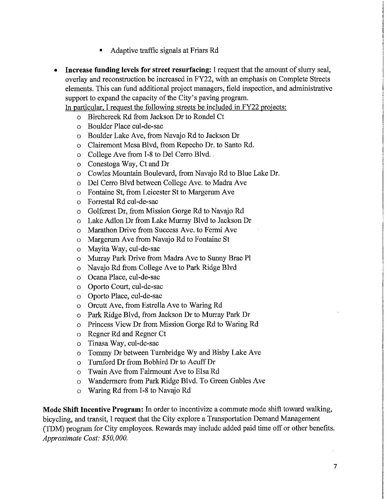- Adaptive traffic signals at Friars Rd
- **Increase funding levels for street resurfacing:** I request that the amount of slurry seal, overlay and reconstruction be increased in FY22, with an emphasis on Complete Streets elements. This can fund additional project managers, field inspection, and administrative support to expand the capacity of the City's paving program.

In particular. I request the following streets be included in FY22 projects:

- o Birchcreek Rd from Jackson Dr to Ronde! Ct
- o Boulder Place cul-de-sac
- o Boulder Lake Ave, from Navajo Rd to Jackson Dr
- o Clairemont Mesa Blvd, from Repecho Dr. to Santo Rd.
- o College Ave from I-8 to Del Cerro Blvd...
- o Conestoga Way, Ct and Dr
- o Cowles Mountain Boulevard, from Navajo Rd to Blue Lake Dr.
- o Del Cerro Blvd between College Ave. to Madra Ave
- o Fontaine St, from Leicester St to Margerum Ave
- o Forrestal Rd cul-de-sac
- o Golfcrest Dr, from Mission Gorge Rd to Navajo Rd
- o Lake Adlon Dr from Lake Murray Blvd to Jackson Dr
- o Marathon Drive from Success Ave. to Fermi Ave
- o Margerum Ave from Navajo Rd to Fontaine St
- o Mayita Way, cul-de-sac
- o Murray Park Drive from Madra Ave to Sunny Brae Pl
- o Navajo Rd from College Ave to Park Ridge Blvd
- o Ocana Place, cul-de-sac
- o Oporto Court, cul-de-sac
- o Oporto Place, cul-de-sac
- o Orcutt Ave, from Estrella Ave to Waring Rd
- o Park Ridge Blvd, from Jackson Dr to Murray Park Dr
- o Princess View Dr from Mission Gorge Rd to Waring Rd
- o Regner Rd and Regner Ct
- o Tinasa Way, cul-de-sac
- o Tommy Dr between Turnbridge Wyand Bisby Lake Ave
- o Turnford Dr from Bobhird Dr to Acuff Dr
- o Twain Ave from Fairmount Ave to Elsa Rd
- o Wandermere from Park Ridge Blvd. To Green Gables Ave
- o Waring Rd from 1-8 to Navajo Rd

**Mode Shift Incentive Program:** In order to incentivize a commute mode shift toward walking, bicycling, and transit, I request that the City explore a Transportation Demand Management (TOM) program for City employees. Rewards may include added paid time off or other benefits. *Approximate Cost: \$5 0, 000.*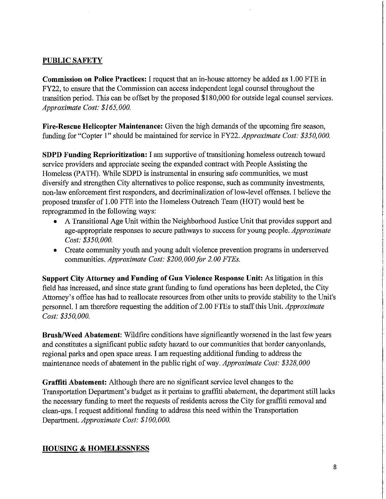# **PUBLIC SAFETY**

**Commission on Police Practices:** I request that an in-house attorney be added as 1.00 FTE in FY22, to ensure that the Commission can access independent legal counsel throughout the transition period. This can be offset by the proposed \$180,000 for outside legal counsel services. *Approximate Cost: \$165,000.* 

**Fire-Rescue Helicopter Maintenance:** Given the high demands of the upcoming fire season, funding for "Copter l" should be maintained for service in FY22. *Approximate Cost: \$350,000.* 

**SDPD Funding Reprioritization:** I am supportive of transitioning homeless outreach toward service providers and appreciate seeing the expanded contract with People Assisting the Homeless (PATH). While SDPD is instrumental in ensuring safe communities, we must diversify and strengthen City alternatives to police response, such as community investments, non-law enforcement first responders, and decriminalization of low-level offenses. I believe the proposed transfer of 1.00 FTE into the Homeless Outreach Team (HOT) would best be reprogrammed in the following ways:

- A Transitional Age Unit within the Neighborhood Justice Unit that provides support and age-appropriate responses to secure pathways to success for young people. *Approximate Cost: \$350,000.*
- Create community youth and young adult violence prevention programs in underserved communities. *Approximate Cost: \$200,000 for 2. 00 FTEs.*

**Support City Attorney and Funding of Gun Violence Response Unit:** As litigation in this field has increased, and since state grant funding to fund operations has been depleted, the City Attorney's office has had to reallocate resources from other units to provide stability to the Unit's personnel. I am therefore requesting the addition of2.00 FTEs to staff this Unit. *Approximate Cost: \$350,000.* 

**Brush/Weed Abatement:** Wildfire conditions have significantly worsened in the last few years and constitutes a significant public safety hazard to our communities that border canyonlands, regional parks and open space areas. I am requesting additional funding to address the maintenance needs of abatement in the public right of way. *Approximate Cost: \$328,000* 

**Graffiti Abatement:** Although there are no significant service level changes to the Transportation Department's budget as it pertains to graffiti abatement, the department still lacks the necessary funding to meet the requests of residents across the City for graffiti removal and clean-ups. I request additional funding to address this need within the Transportation Department. *Approximate Cost: \$100,000.* 

### **HOUSING & HOMELESSNESS**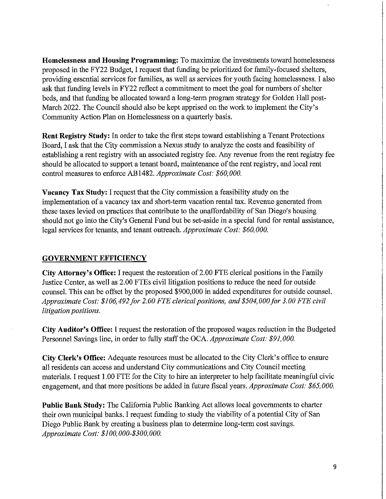**Homelessness and Housing Programming:** To maximize the investments toward homelessness proposed in the FY22 Budget, I request that funding be prioritized for family-focused shelters, providing essential services for families, as well as services for youth facing homelessness. I also ask that funding levels in FY22 reflect a commitment to meet the goal for numbers of shelter beds, and that funding be allocated toward a long-term program strategy for Golden Hall post-March 2022. The Council should also be kept apprised on the work to implement the City's Community Action Plan on Homelessness on a quarterly basis.

**Rent Registry Study:** In order to take the first steps toward establishing a Tenant Protections Board, I ask that the City commission a Nexus study to analyze the costs and feasibility of establishing a rent registry with an associated registry fee. Any revenue from the rent registry fee should be allocated to support a tenant board, maintenance of the rent registry, and local rent control measures to enforce AB 1482. *Approximate Cost: \$ 60, 000.* 

**Vacancy Tax Study:** I request that the City commission a feasibility study on the implementation of a vacancy tax and short-term vacation rental tax. Revenue generated from these taxes levied on practices that contribute to the unaffordability of San Diego's housing should not go into the City's General Fund but be set-aside in a special fund for rental assistance, legal services for tenants, and tenant outreach. *Approximate Cost: \$60,000.* 

#### **GOVERNMENT EFFICIENCY**

City Attorney's Office: I request the restoration of 2.00 FTE clerical positions in the Family Justice Center, as well as 2.00 FTEs civil litigation positions to reduce the need for outside counsel. This can be offset by the proposed \$900,000 in added expenditures for outside counsel. *Approximate Cost: \$106,492 for 2.00 FTE clerical positions, and \$504,000 for 3.00 FTE civil litigation positions.* 

**City Auditor's Office:** I request the restoration of the proposed wages reduction in the Budgeted Personnel Savings line, in order to fully staff the OCA. *Approximate Cost: \$91,000.* 

**City Clerk's Office:** Adequate resources must be allocated to the City Clerk's office to ensure all residents can access and understand City communications and City Council meeting materials. I request 1. 00 FTE for the City to hire an interpreter to help facilitate meaningful civic engagement, and that more positions be added in future fiscal years. *Approximate Cost: \$65,000.* 

**Public Bank Study:** The California Public Banking Act allows local governments to charter their own municipal banks. I request funding to study the viability of a potential City of San Diego Public Bank by creating a business plan to determine long-term cost savings. *Approximate Cost: \$100,000-\$300,000.*